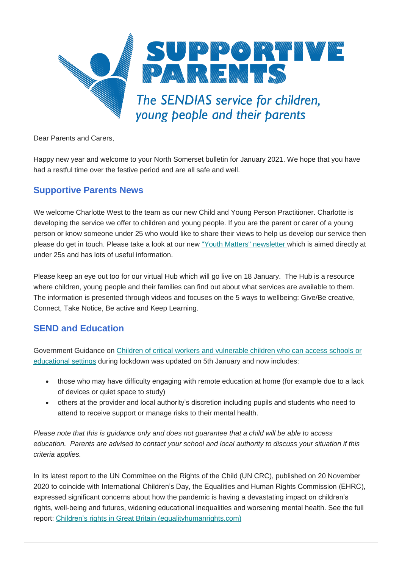

Dear Parents and Carers,

Happy new year and welcome to your North Somerset bulletin for January 2021. We hope that you have had a restful time over the festive period and are all safe and well.

### **Supportive Parents News**

We welcome Charlotte West to the team as our new Child and Young Person Practitioner. Charlotte is developing the service we offer to children and young people. If you are the parent or carer of a young person or know someone under 25 who would like to share their views to help us develop our service then please do get in touch. Please take a look at our new ["Youth Matters" newsletter](https://www.supportiveparents.org.uk/youth-matters-sp-16-25-news-january-2021/) [w](https://www.supportiveparents.org.uk/youth-matters-sp-16-25-news-january-2021/)hich is aimed directly at under 25s and has lots of useful information.

Please keep an eye out too for our virtual Hub which will go live on 18 January. The Hub is a resource where children, young people and their families can find out about what services are available to them. The information is presented through videos and focuses on the 5 ways to wellbeing: Give/Be creative, Connect, Take Notice, Be active and Keep Learning.

# **SEND and Education**

Government Guidance on [Children of critical workers and vulnerable children who can access schools or](https://www.gov.uk/government/publications/coronavirus-covid-19-maintaining-educational-provision/guidance-for-schools-colleges-and-local-authorities-on-maintaining-educational-provision)  [educational settings](https://www.gov.uk/government/publications/coronavirus-covid-19-maintaining-educational-provision/guidance-for-schools-colleges-and-local-authorities-on-maintaining-educational-provision) during lockdown was updated on 5th January and now includes:

- those who may have difficulty engaging with remote education at home (for example due to a lack of devices or quiet space to study)
- others at the provider and local authority's discretion including pupils and students who need to attend to receive support or manage risks to their mental health.

*Please note that this is guidance only and does not guarantee that a child will be able to access education. Parents are advised to contact your school and local authority to discuss your situation if this criteria applies.*

In its latest report to the UN Committee on the Rights of the Child (UN CRC), published on 20 November 2020 to coincide with International Children's Day, the Equalities and Human Rights Commission (EHRC), expressed significant concerns about how the pandemic is having a devastating impact on children's rights, well-being and futures, widening educational inequalities and worsening mental health. See the full report: [Children's rights in Great Britain \(equalityhumanrights.com\)](https://www.equalityhumanrights.com/sites/default/files/childrens_rights_in_great_britain_0.pdf)